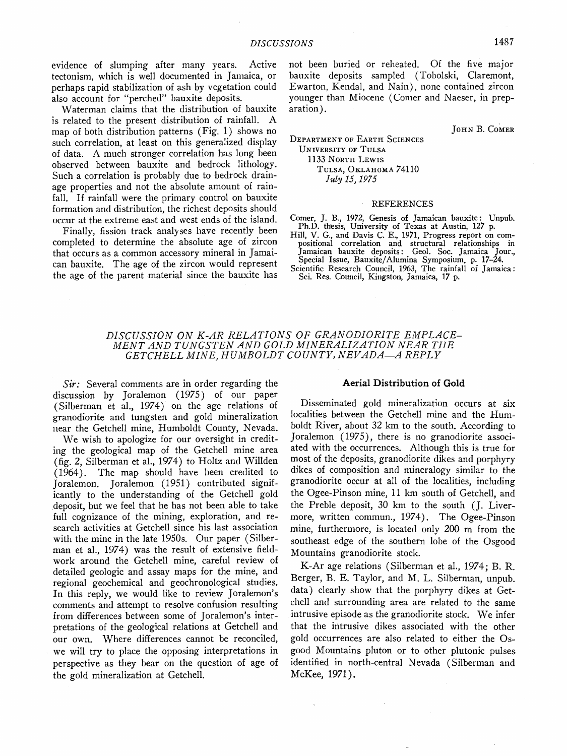**evidence of slumping after many years. Active tectonism, which is well documented in Janmica, or perhaps rapid stabilization of ash by vegetation could also account for "perched" bauxite deposits.** 

**Waterman claims that the distribution of bauxite is related to the present distribution of rainfall. A map of both distribution patterns (Fig. 1) shows no such correlation, at least on this generalized display of data. A much stronger correlation has long been observed between bauxite and bedrock lithology. Such a correlation is probably due to bedrock drainage properties and not the absolute amount of rainfall. If rainfall were the primary control on bauxite formation and distribution, the richest deposits should occur at the extreme east and west ends of the island.** 

**Finally, fission track analyses have recently been completed to determine the absolute age of zircon that occurs as a common accessory mineral in Jamaican bauxite. The age of the zircon would represent the age of the parent material since the bauxite has** 

not been buried or reheated. Of the five major **bauxite deposits sampled (Tobolski, Claremont, Ewarton, Kendal, and Nain), none contained zircon younger than Miocene (Comer and Naeser, in preparation).** 

**JOHN B. COMER** 

#### **DEPARTMENT OF EARTH SCIENCES UNIVERSITY OF TULSA**  1133 NORTH LEWIS TULSA, OKLAHOMA 74110 **July 15, 1975**

#### **REFERENCES**

**Comer, J. B., 1972, Genesis of Jamaican bauxite: Unpub. Ph.D. thesis, University of Texas at Austin, 127 p.** 

- **Hill, V. G., and Davis C. E., 1971, Progress report on compositional correlation and structural relationships in Jamaican bauxite deposits: Geol. Soc. Jamaica Jour.,**
- **Special Issue, Bauxite/Alumina Symposium. p. 17-24. Scientific Research Council, 1963, The rainfall of Jamaica: Sci. Res. Council, Kingston, Jamaica, 17 p.**

# DISCUSSION ON K-AR RELATIONS OF GRANODIORITE EMPLACE-**MENT .4ND TUNGSTEN .4ND GOLD MINER.4LIZ.4TION NE.4R THE**  GETCHELL MINE, HUMBOLDT COUNTY, NEVADA-A REPLY

**Sir: Several comments are in order regarding the discussion by Joralemon (1975) of our paper (Silberman et al., 1974) on the age relations of granodiorite and tungsten and gold mineralization near the Getchell mine, Humboldt County, Nevada.** 

**We wish to apologize for our oversight in crediting the geological map of the Getchell mine area (fig. 2, Silberman et al., 1974) to Holtz and Willden (1964). The map should have been credited to Joralemon. Joralemon (1951) contributed significantly to the understanding of the Getchell gold deposit, but we feel that he has not been able to take full cognizance of the mining, exploration, and research activities at Getchell since his last association with the mine in the late 1950s. Our paper (Silberman et al., 1974) was the result of extensive fieldwork around the Getchell mine, careful review of detailed geologic and assay maps for the mine, and regional geochemical and geochronological studies. In this reply, we would like to review Joralemon's comments and attempt to resolve confusion resulting from differences between some of Joralemon's interpretations of the geological relations at Getchell and our own. Where differences cannot be reconciled, we will try to place the opposing interpretations in perspective as they bear on the question of age of the gold mineralization at Getcheil.** 

# **Aerial Distribution of Gold**

**Disseminated gold mineralization occurs at six localities between the Getchell mine and the Humboldt River, about 32 km to the south. According to Joralemon (1975), there is no granodiorite associated with the occurrences. Although this is true for most of the deposits, granodiorite dikes and porphyry dikes of composition and mineralogy similar to the granodiorite occur at all of the localities, including the Ogee-Pinson mine, 11 km south of Getcheil, and the Preble deposit, 30 km to the south (J. Livermore, written commun., 1974). The Ogee-Pinson mine, furthermore, is located only 200 m from the southeast edge of the southern lobe of the Osgood Mountains granodiorite stock.** 

**K-Ar age relations (Silberman et al., 1974; B. R. Berger, B. E. Taylor, and M. L. Silberman, unpub. data) clearly show that the porphyry dikes at Getchell and surrounding area are related to the same intrusive episode as the granodiorite stock. We infer that the intrusive dikes associated with the other gold occurrences are also related to either the Osgood Mountains pluton or to other plutonic pulses identified in north-central Nevada (Silberman and McKee, 1971).**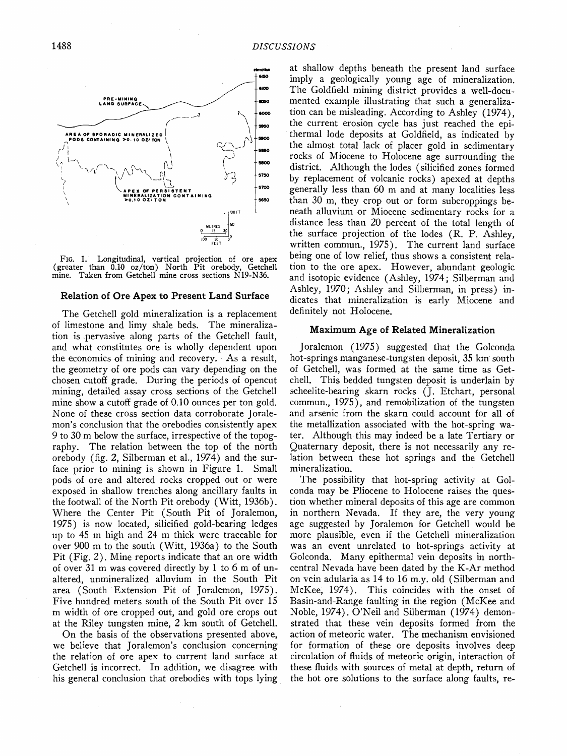

**Fro. 1. Longitudinal, vertical projection of ore apex (greater than 0.10 oz/ton) North Pit orebody, Getchell mine. Taken from Getchell mine cross sections N19-N36.** 

#### **Relation of Ore Apex to Present Land Surface**

**The Getchell gold mineralization is a replacement of limestone and limy shale beds. The mineralization is •pervasive along parts of the Getchell fault, and what constitutes ore is wholly dependent upon the economics of mining and recovery. As a result, the geometry of ore pods can vary depending on the chosen cutoff grade. During the periods of opencut mining, detailed assay cross sections of the Getchell mine show a cutoff grade of 0.10 ounces per ton gold. None of these cross section data corroborate Joralemon's conclusion that the orebodies consistently apex 9 to 30 m below the surface, irrespective of the topography. The relation between the top of the north orebody (fig. 2, Silberman et al., 1974) and the surface prior to mining is shown in Figure 1. Small pods of ore and altered rocks cropped out or were exposed in shallow trenches along ancillary faults in the footwall of the North Pit orebody (Witt, 1936b). Where the Center Pit (South Pit of Joralemon, 1975) is now located, silicified gold-bearing ledges up to 45 m high and 24 m thick were traceable for over 900 m to the south (Witt, 1936a) to the South Pit (Fig. 2). Mine reports indicate that an ore width of over 31 m was covered directly by 1 to 6 m of unaltered, unmineralized alluvium in the South Pit area (South Extension Pit of Joralemon, 1975). Five hundred meters south of the South Pit over 15 m width of ore cropped out, and gold ore crops out at the Riley tungsten mine, 2 km south of Getcheil.** 

**On the basis of the observations presented above, we believe that Joralemon's conclusion concerning the relation of ore apex to current land surface at Getchell is incorrect. In addition, we disagree with his general conclusion that orebodies with tops lying**  **at shallow depths beneath the present land surface imply a geologically young age of mineralization. The Goldfield mining district provides a well-documented example illustrating that such a generalization can be misleading. According to Ashley (1974), the current erosion cycle has just reached the epithermal lode deposits at Goldfield, as indicated by the almost total lack of placer gold in sedimentary rocks of Miocene to Holocene age surrounding the district. Although the lodes (silicified zones formed by replacement of volcanic rocks) apexed at depths generally less than 60 m and at many localities less than 30 m, they crop out or form subcroppings beneath alluvium or Miocene sedimentary rocks for a distance less than 20 percent of the total length of the surface projection of the lodes (R. P. Ashley, written commun., 1975). The current land surface being one of low relief, thus shows a consistent relation to the ore apex. However, abundant geologic and isotopic evidence (Ashley, 1974; Silberman and Ashley, 1970; Ashley and Silberman, in press) indicates that mineralization is early Miocene and definitely not Holocene.** 

# **Maximum Age of Related Mineralization**

**Joralemon (1975) suggested that the Golconda hot-springs manganese-tungsten deposit, 35 km south of Getcheil, was formed at the same time as Getchell. This bedded tungsten deposit is underlain by scheelite-bearing skarn rocks (J. Etchart, personal commun., 1975), and remobilization of the tungsten and arsenic from the skarn could account for all of the metallization associated with the hot-spring water. Although this may indeed be a late Tertiary or Quaternary deposit, there is not necessarily any relation between these hot springs and the Getchell mineralization.** 

**The possibility that hot-spring activity at Golconda may be Pliocene to Holocene raises the question whether mineral deposits of this age are common in northern Nevada. If they are, the very young age suggested by Joralemon for Getchell would be more plausible, even if the Getchell mineralization was an event unrelated to hot-springs activity at Golconda. Many epithermal vein deposits in northcentral Nevada have been dated by the K-Ar method on vein adularia as 14 to 16 m.y. old (Silberman and McKee, 1974). This coincides with the onset of Basin-and-Range faulting in the region (McKee and Noble, 1974). O'Neil and Silberman (1974) demonstrated that these vein deposits formed from the action of meteoric water. The mechanism envisioned for formation of these ore deposits involves deep circulation of fluids of meteoric origin, interaction of these fluids with sources of metal at depth, return of the hot ore solutions to the surface along faults, re-**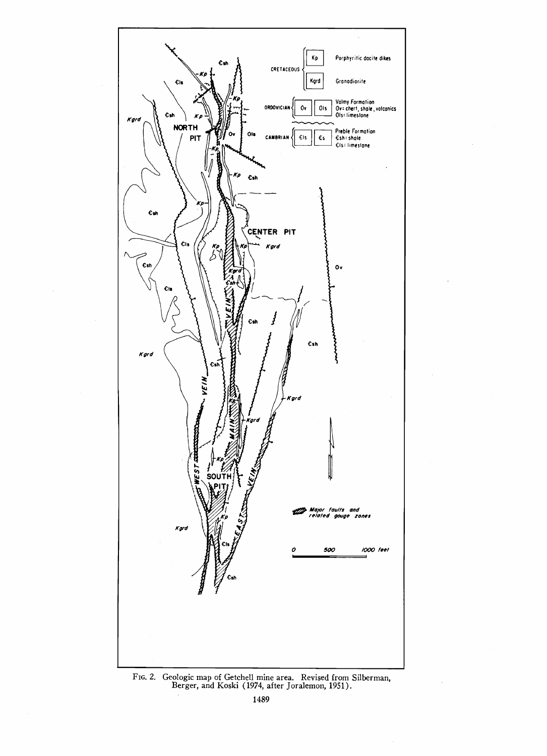

FIG. 2. Geologic map of Getchell mine area. Revised from Silberman,<br>Berger, and Koski (1974, after Joralemon, 1951).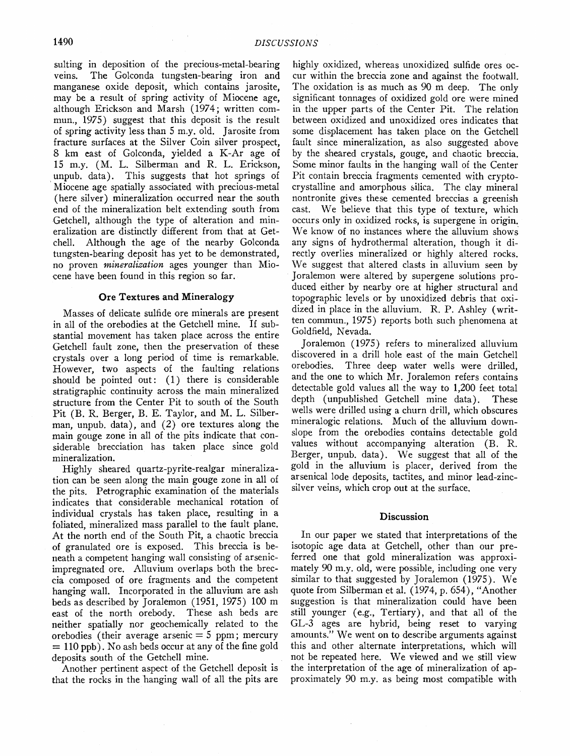**suiting in deposition of the precious-metal-bearing veins. The Golconda tungsten-bearing iron and manganese oxide deposit, which contains jarosite, may be a result of spring activity of Miocene age, although Erickson and Marsh (1974; written commun., 1975) suggest that this deposit is the result of spring activity less than 5 m.y. old. Jarosite from fracture surfaces at the Silver Coin silver prospect, 8 km east of Golconda, yielded a K-Ar age of 15 m.y. (M. L. Silberman and R. L. Erickson,**  unpub. data). This suggests that hot springs of **Miocene age spatially associated with precious-metal (here silver) mineralization occurred near the south end of the mineralization belt extending south from Getcheil, although the type of alteration and mineralization are distinctly different from that at Getchell. Although the age of the nearby Golconda tungsten-bearing deposit has yet to be demonstrated,**  no proven *mineralization* ages younger than Mio**cene have been found in this region so far.** 

#### **Ore Textures and Mineralogy**

**Masses of delicate sulfide ore minerals are present in all of the orebodies at the Getcheil mine. If substantial movement has taken place across the entire Getchell fault zone, then the preservation of these crystals over a long period of time is remarkable. However, two aspects of the faulting relations**  should be pointed out: (1) there is considerable **stratigraphic continuity across the main mineralized structure from the Center Pit to south of the South Pit (B. R. Berger, B. E. Taylor, and M. L. Silberman, unpub. data), and (2) ore textures along the main gouge zone in all of the pits indicate that considerable brecciation has taken place since gold mineralization.** 

**Highly sheared quartz-pyrite-realgar mineralization can be seen along the main gouge zone in all of the pits. Petrographic examination of the materials indicates that considerable mechanical rotation of individual crystals has taken place, resulting in a foliated, mineralized mass parallel to the fault plane. At the north end of the South Pit, a chaotic breccia of granulated ore is exposed. This breccia is beneath a competent hanging wall consisting of arsenicimpregnated ore. Alluvium overlaps both the breccia composed of ore fragments and the competent hanging wall. Incorporated in the alluvium are ash beds as described by Joralemon (1951, 1975) 100 m east of the north orebody. These ash beds are neither spatially nor geochemically related to the orebodies (their average arsenic = 5 ppm; mercury**   $= 110$  ppb). No ash beds occur at any of the fine gold deposits south of the Getchell mine.

**Another pertinent aspect of the Getchell deposit is that the rocks in the 'hanging wall of all the pits are** 

**highly oxidized, whereas unoxidized sulfide ores occur within the breccia zone and against the footwall. The oxidation is as much as 90 m deep. The only significant tonnages of oxidized gold ore were mined in the upper parts of the Center Pit. The relation between oxidized and unoxidized ores indicates that some displacement has taken place on the Getcheil fault since mineralization, as also suggested above by the sheared crystals, gouge, and chaotic breccia. Some minor faults in the hanging wall of the Center Pit contain breccia fragments cemented with crypto**crystalline and amorphous silica. The clay mineral **nontronite gives these cemented breccias agreenish cast. We believe that this type of texture, which**  occurs only in oxidized rocks, is supergene in origin. **We know of no instances where the alluvium shows any signs of hydrothermal alteration, though it directly overlies mineralized or highly altered rocks.**  We suggest that altered clasts in alluvium seen by **Joralemon were altered by supergene solutions produced either by nearby ore at higher structural and topographic levels or by unoxidized debris that oxidized in place in the alluvium. R. P. Ashley (written commun., 1975) reports both such phenomena at Goldfield, Nevada.** 

**Joralemon (1975) refers to mineralized alluvium discovered in a drill hole east of the main Getcheil**  Three deep water wells were drilled, **and the one to which Mr. Joralemon refers contains detectable gold values all the way to 1,200 feet total**  depth (unpublished Getchell mine data). **wells were drilled using a churn drill, which obscures mineralogic relations. Much of the alluvium downslope from the orebodies contains detectable gold values without accompanying alteration (B. R. Berger, unpub. data). We suggest that all of the gold in the alluvium is placer, derived from the**  arsenical lode deposits, tactites, and minor lead-zinc**silver veins, which crop out at the surface.** 

#### **Discussion**

**In our paper we stated that interpretations of the isotopic age data at Getcheil, other than our preferred one that gold mineralization was approximately 90 m.y. old, were possible, including one very similar to that suggested by Joralemon (1975). We quote from Silberman et al. (1974, p. 654), "Another suggestion is that mineralization could have been still younger (e.g., Tertiary), and that all of the GL-3 ages are hybrid, being reset to varying amounts." We went on to describe arguments against this and other alternate interpretations, which will not be repeated here. We viewed and we still view the interpretation of the age of mineralization of approximately 90 m.y. as being most compatible with**